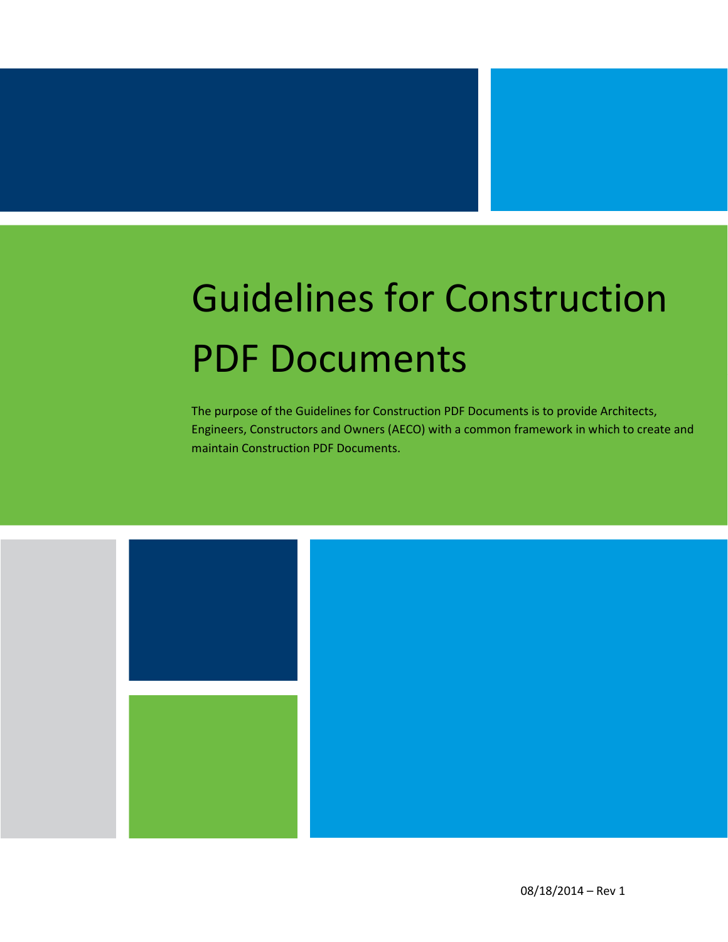# Guidelines for Construction PDF Documents

The purpose of the Guidelines for Construction PDF Documents is to provide Architects, Engineers, Constructors and Owners (AECO) with a common framework in which to create and maintain Construction PDF Documents.

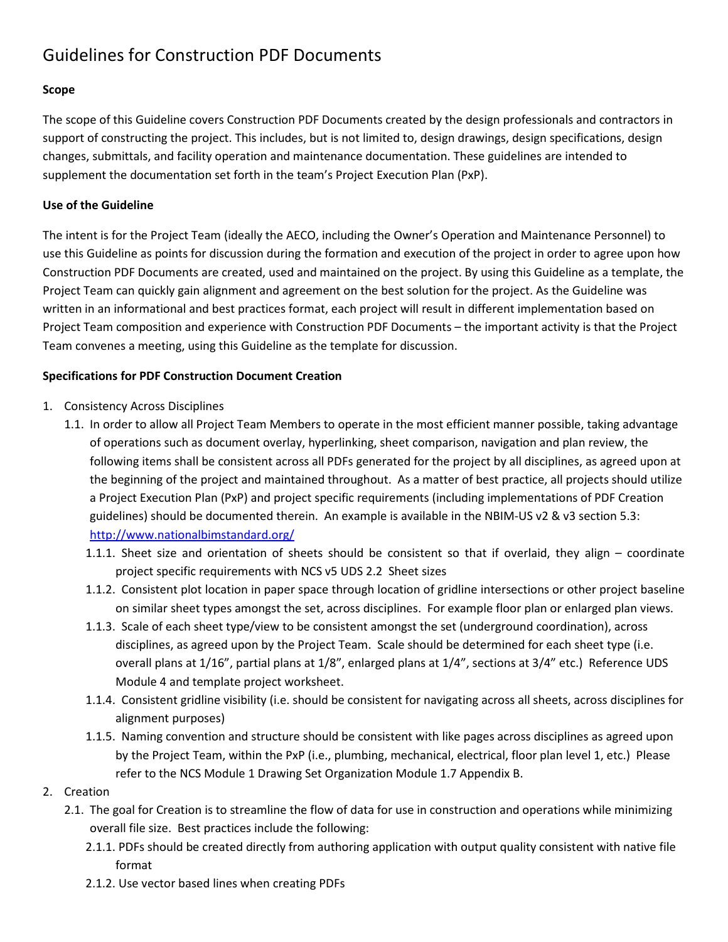## Guidelines for Construction PDF Documents

### **Scope**

The scope of this Guideline covers Construction PDF Documents created by the design professionals and contractors in support of constructing the project. This includes, but is not limited to, design drawings, design specifications, design changes, submittals, and facility operation and maintenance documentation. These guidelines are intended to supplement the documentation set forth in the team's Project Execution Plan (PxP).

#### **Use of the Guideline**

The intent is for the Project Team (ideally the AECO, including the Owner's Operation and Maintenance Personnel) to use this Guideline as points for discussion during the formation and execution of the project in order to agree upon how Construction PDF Documents are created, used and maintained on the project. By using this Guideline as a template, the Project Team can quickly gain alignment and agreement on the best solution for the project. As the Guideline was written in an informational and best practices format, each project will result in different implementation based on Project Team composition and experience with Construction PDF Documents – the important activity is that the Project Team convenes a meeting, using this Guideline as the template for discussion.

### **Specifications for PDF Construction Document Creation**

- 1. Consistency Across Disciplines
	- 1.1. In order to allow all Project Team Members to operate in the most efficient manner possible, taking advantage of operations such as document overlay, hyperlinking, sheet comparison, navigation and plan review, the following items shall be consistent across all PDFs generated for the project by all disciplines, as agreed upon at the beginning of the project and maintained throughout. As a matter of best practice, all projects should utilize a Project Execution Plan (PxP) and project specific requirements (including implementations of PDF Creation guidelines) should be documented therein. An example is available in the NBIM-US v2 & v3 section 5.3: <http://www.nationalbimstandard.org/>
		- 1.1.1. Sheet size and orientation of sheets should be consistent so that if overlaid, they align coordinate project specific requirements with NCS v5 UDS 2.2 Sheet sizes
		- 1.1.2. Consistent plot location in paper space through location of gridline intersections or other project baseline on similar sheet types amongst the set, across disciplines. For example floor plan or enlarged plan views.
		- 1.1.3. Scale of each sheet type/view to be consistent amongst the set (underground coordination), across disciplines, as agreed upon by the Project Team. Scale should be determined for each sheet type (i.e. overall plans at 1/16", partial plans at 1/8", enlarged plans at 1/4", sections at 3/4" etc.) Reference UDS Module 4 and template project worksheet.
		- 1.1.4. Consistent gridline visibility (i.e. should be consistent for navigating across all sheets, across disciplines for alignment purposes)
		- 1.1.5. Naming convention and structure should be consistent with like pages across disciplines as agreed upon by the Project Team, within the PxP (i.e., plumbing, mechanical, electrical, floor plan level 1, etc.) Please refer to the NCS Module 1 Drawing Set Organization Module 1.7 Appendix B.
- 2. Creation
	- 2.1. The goal for Creation is to streamline the flow of data for use in construction and operations while minimizing overall file size. Best practices include the following:
		- 2.1.1. PDFs should be created directly from authoring application with output quality consistent with native file format
		- 2.1.2. Use vector based lines when creating PDFs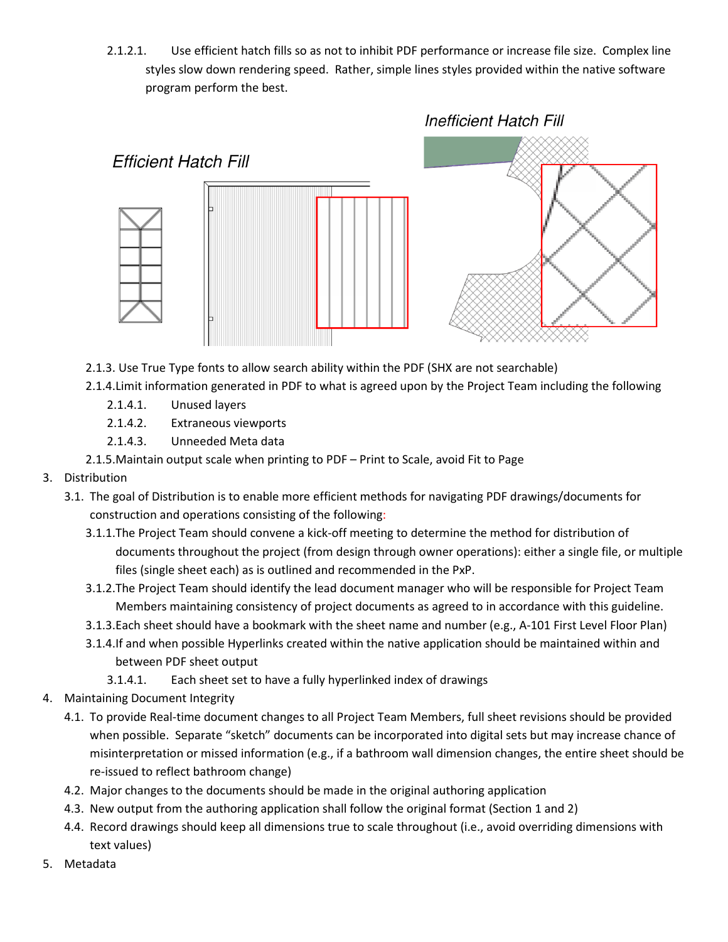2.1.2.1. Use efficient hatch fills so as not to inhibit PDF performance or increase file size. Complex line styles slow down rendering speed. Rather, simple lines styles provided within the native software program perform the best.



- 2.1.3. Use True Type fonts to allow search ability within the PDF (SHX are not searchable)
- 2.1.4.Limit information generated in PDF to what is agreed upon by the Project Team including the following
	- 2.1.4.1. Unused layers
	- 2.1.4.2. Extraneous viewports
	- 2.1.4.3. Unneeded Meta data
- 2.1.5.Maintain output scale when printing to PDF Print to Scale, avoid Fit to Page
- 3. Distribution
	- 3.1. The goal of Distribution is to enable more efficient methods for navigating PDF drawings/documents for construction and operations consisting of the following:
		- 3.1.1.The Project Team should convene a kick-off meeting to determine the method for distribution of documents throughout the project (from design through owner operations): either a single file, or multiple files (single sheet each) as is outlined and recommended in the PxP.
		- 3.1.2.The Project Team should identify the lead document manager who will be responsible for Project Team Members maintaining consistency of project documents as agreed to in accordance with this guideline.
		- 3.1.3.Each sheet should have a bookmark with the sheet name and number (e.g., A-101 First Level Floor Plan)
		- 3.1.4.If and when possible Hyperlinks created within the native application should be maintained within and between PDF sheet output
			- 3.1.4.1. Each sheet set to have a fully hyperlinked index of drawings
- 4. Maintaining Document Integrity
	- 4.1. To provide Real-time document changes to all Project Team Members, full sheet revisions should be provided when possible. Separate "sketch" documents can be incorporated into digital sets but may increase chance of misinterpretation or missed information (e.g., if a bathroom wall dimension changes, the entire sheet should be re-issued to reflect bathroom change)
	- 4.2. Major changes to the documents should be made in the original authoring application
	- 4.3. New output from the authoring application shall follow the original format (Section 1 and 2)
	- 4.4. Record drawings should keep all dimensions true to scale throughout (i.e., avoid overriding dimensions with text values)
- 5. Metadata